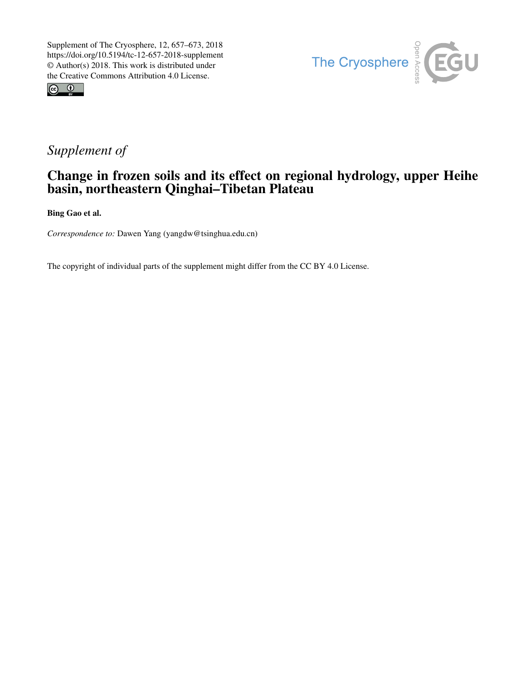



## *Supplement of*

## Change in frozen soils and its effect on regional hydrology, upper Heihe basin, northeastern Qinghai–Tibetan Plateau

Bing Gao et al.

*Correspondence to:* Dawen Yang (yangdw@tsinghua.edu.cn)

The copyright of individual parts of the supplement might differ from the CC BY 4.0 License.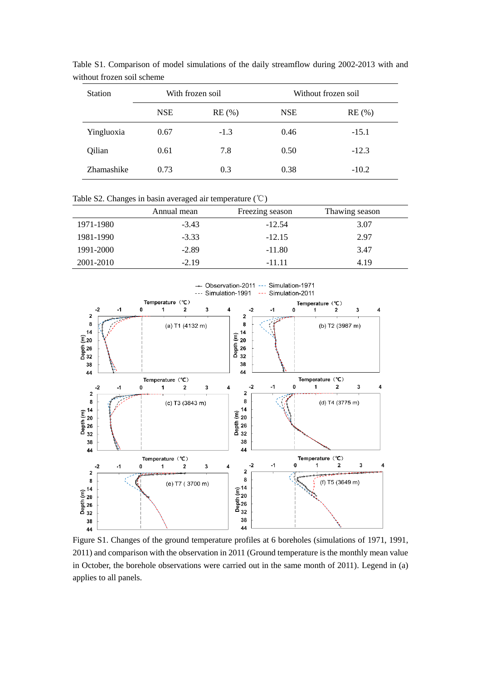| <b>Station</b> | With frozen soil |        | Without frozen soil |         |
|----------------|------------------|--------|---------------------|---------|
|                | <b>NSE</b>       | RE(%)  | <b>NSE</b>          | RE(%)   |
| Yingluoxia     | 0.67             | $-1.3$ | 0.46                | $-15.1$ |
| Qilian         | 0.61             | 7.8    | 0.50                | $-12.3$ |
| Zhamashike     | 0.73             | 0.3    | 0.38                | $-10.2$ |

Table S1. Comparison of model simulations of the daily streamflow during 2002-2013 with and without frozen soil scheme

Table S2. Changes in basin averaged air temperature (℃)

|           | Annual mean | Freezing season | Thawing season |
|-----------|-------------|-----------------|----------------|
| 1971-1980 | $-3.43$     | $-12.54$        | 3.07           |
| 1981-1990 | $-3.33$     | $-12.15$        | 2.97           |
| 1991-2000 | $-2.89$     | $-11.80$        | 3.47           |
| 2001-2010 | $-2.19$     | $-11.11$        | 4.19           |



Figure S1. Changes of the ground temperature profiles at 6 boreholes (simulations of 1971, 1991, 2011) and comparison with the observation in 2011 (Ground temperature is the monthly mean value in October, the borehole observations were carried out in the same month of 2011). Legend in (a) applies to all panels.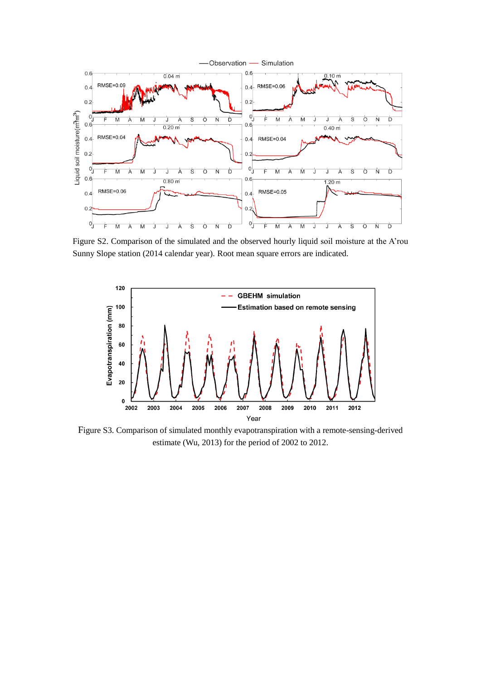

Figure S2. Comparison of the simulated and the observed hourly liquid soil moisture at the A'rou Sunny Slope station (2014 calendar year). Root mean square errors are indicated.



Figure S3. Comparison of simulated monthly evapotranspiration with a remote-sensing-derived estimate (Wu, 2013) for the period of 2002 to 2012.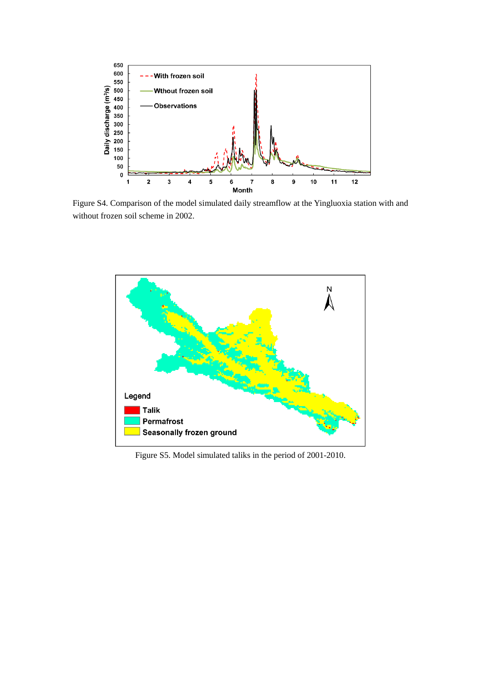

Figure S4. Comparison of the model simulated daily streamflow at the Yingluoxia station with and without frozen soil scheme in 2002.



Figure S5. Model simulated taliks in the period of 2001-2010.